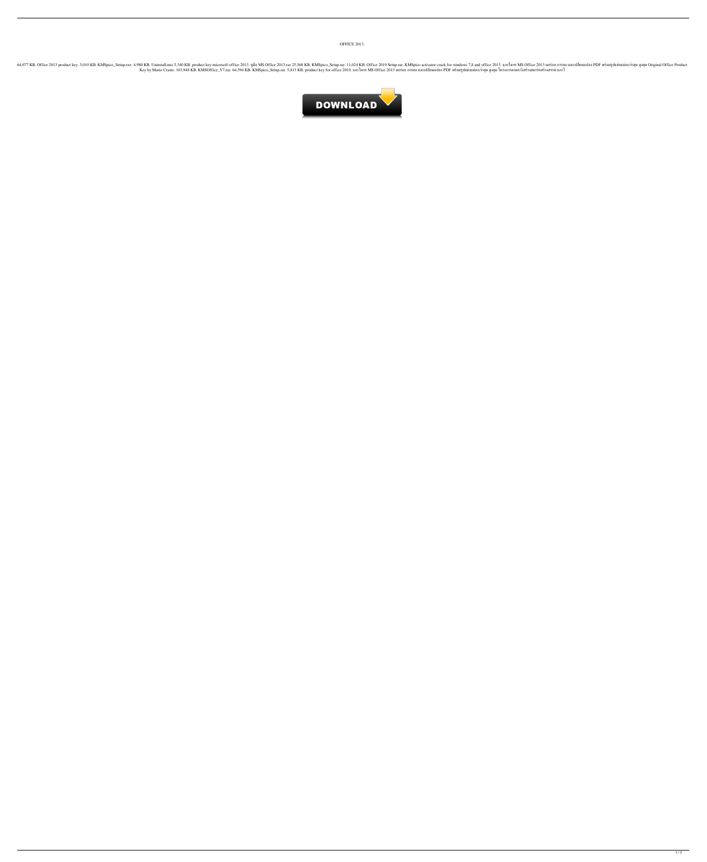OFFICE 2013.

งควาร RB. Office 2013 product key. 5,010 KB. KMSpico\_Setup.exe. 4,980 KB. Uninstall.msi 5,340 KB. Uninstall.msi 5,340 KB. product key microsoft office 2013. คู่มือ MS Office 2013 and office 2013 แกะโครร MS Diffice 2013 คอ Key by Mario Crasto. 103,948 KB. KMSOffice\_V7.rar. 64,594 KB. KMSpico\_Setup.rar. 5,813 KB. product key for office 2010. แกะโคจร MS Office 2013 ดอร่อย การลบ และเปลี่ยนแปลง PDF พร้อมรูปแข่งแต่ละเจ้าสุด สูงสุด โครงการคาดหวัง